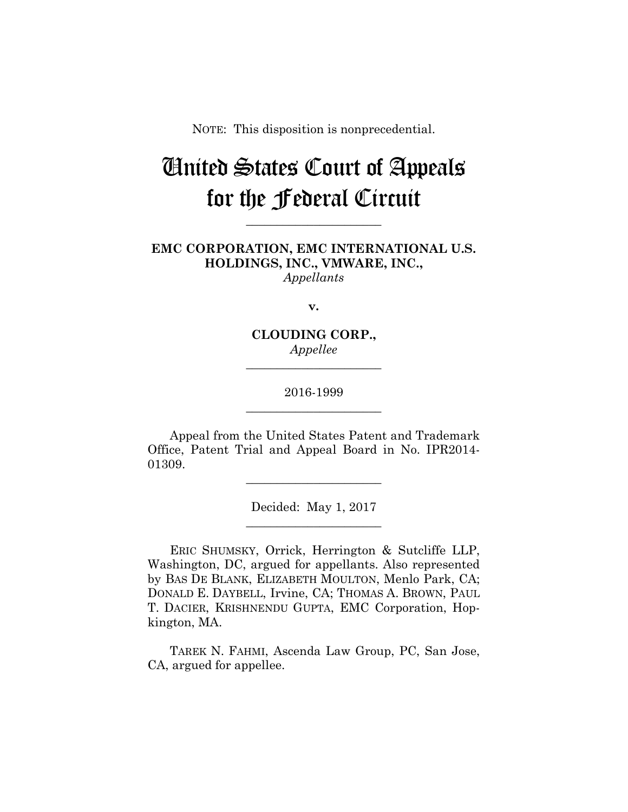NOTE: This disposition is nonprecedential.

# United States Court of Appeals for the Federal Circuit

**EMC CORPORATION, EMC INTERNATIONAL U.S. HOLDINGS, INC., VMWARE, INC.,** *Appellants*

**\_\_\_\_\_\_\_\_\_\_\_\_\_\_\_\_\_\_\_\_\_\_** 

**v.**

**CLOUDING CORP.,** *Appellee*

**\_\_\_\_\_\_\_\_\_\_\_\_\_\_\_\_\_\_\_\_\_\_** 

2016-1999 **\_\_\_\_\_\_\_\_\_\_\_\_\_\_\_\_\_\_\_\_\_\_** 

Appeal from the United States Patent and Trademark Office, Patent Trial and Appeal Board in No. IPR2014- 01309.

**\_\_\_\_\_\_\_\_\_\_\_\_\_\_\_\_\_\_\_\_\_\_** 

Decided: May 1, 2017 **\_\_\_\_\_\_\_\_\_\_\_\_\_\_\_\_\_\_\_\_\_\_** 

ERIC SHUMSKY, Orrick, Herrington & Sutcliffe LLP, Washington, DC, argued for appellants. Also represented by BAS DE BLANK, ELIZABETH MOULTON, Menlo Park, CA; DONALD E. DAYBELL, Irvine, CA; THOMAS A. BROWN, PAUL T. DACIER, KRISHNENDU GUPTA, EMC Corporation, Hopkington, MA.

TAREK N. FAHMI, Ascenda Law Group, PC, San Jose, CA, argued for appellee.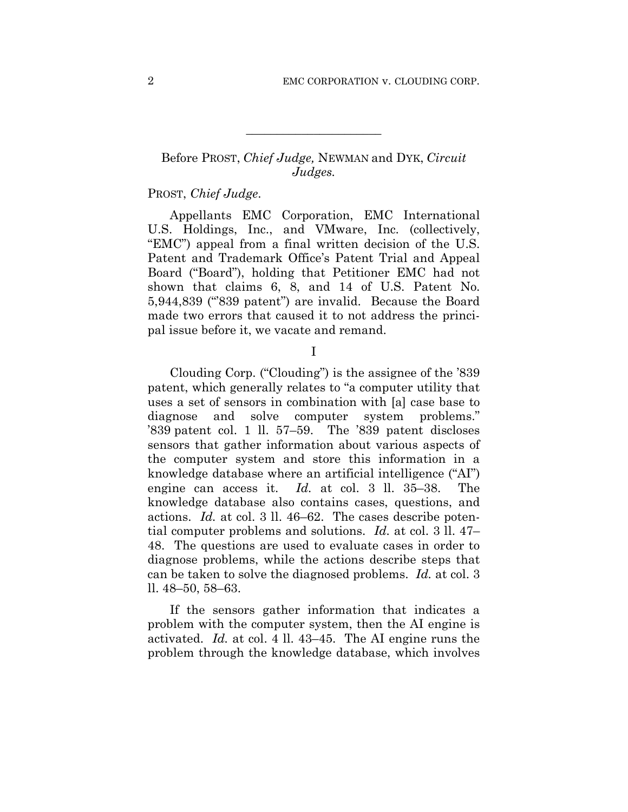## Before PROST, *Chief Judge,* NEWMAN and DYK, *Circuit Judges.*

**\_\_\_\_\_\_\_\_\_\_\_\_\_\_\_\_\_\_\_\_\_\_** 

## PROST, *Chief Judge*.

Appellants EMC Corporation, EMC International U.S. Holdings, Inc., and VMware, Inc. (collectively, "EMC") appeal from a final written decision of the U.S. Patent and Trademark Office's Patent Trial and Appeal Board ("Board"), holding that Petitioner EMC had not shown that claims 6, 8, and 14 of U.S. Patent No. 5,944,839 ("'839 patent") are invalid. Because the Board made two errors that caused it to not address the principal issue before it, we vacate and remand.

I

Clouding Corp. ("Clouding") is the assignee of the '839 patent, which generally relates to "a computer utility that uses a set of sensors in combination with [a] case base to diagnose and solve computer system problems." '839 patent col. 1 ll. 57–59. The '839 patent discloses sensors that gather information about various aspects of the computer system and store this information in a knowledge database where an artificial intelligence ("AI") engine can access it. *Id.* at col. 3 ll. 35–38. The knowledge database also contains cases, questions, and actions. *Id.* at col. 3 ll. 46–62. The cases describe potential computer problems and solutions. *Id.* at col. 3 ll. 47– 48. The questions are used to evaluate cases in order to diagnose problems, while the actions describe steps that can be taken to solve the diagnosed problems. *Id.* at col. 3 ll. 48–50, 58–63.

If the sensors gather information that indicates a problem with the computer system, then the AI engine is activated. *Id.* at col. 4 ll. 43–45. The AI engine runs the problem through the knowledge database, which involves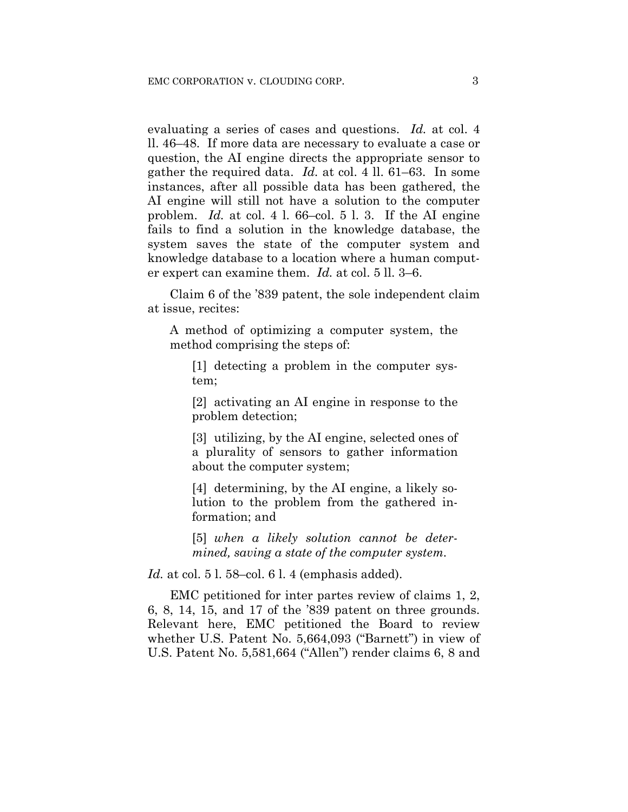evaluating a series of cases and questions. *Id.* at col. 4 ll. 46–48. If more data are necessary to evaluate a case or question, the AI engine directs the appropriate sensor to gather the required data. *Id.* at col. 4 ll. 61–63. In some instances, after all possible data has been gathered, the AI engine will still not have a solution to the computer problem. *Id.* at col. 4 l. 66–col. 5 l. 3. If the AI engine fails to find a solution in the knowledge database, the system saves the state of the computer system and knowledge database to a location where a human computer expert can examine them. *Id.* at col. 5 ll. 3–6.

Claim 6 of the '839 patent, the sole independent claim at issue, recites:

A method of optimizing a computer system, the method comprising the steps of:

[1] detecting a problem in the computer system;

[2] activating an AI engine in response to the problem detection;

[3] utilizing, by the AI engine, selected ones of a plurality of sensors to gather information about the computer system;

[4] determining, by the AI engine, a likely solution to the problem from the gathered information; and

[5] *when a likely solution cannot be determined, saving a state of the computer system.*

*Id.* at col. 5 l. 58–col. 6 l. 4 (emphasis added).

EMC petitioned for inter partes review of claims 1, 2, 6, 8, 14, 15, and 17 of the '839 patent on three grounds. Relevant here, EMC petitioned the Board to review whether U.S. Patent No. 5,664,093 ("Barnett") in view of U.S. Patent No. 5,581,664 ("Allen") render claims 6, 8 and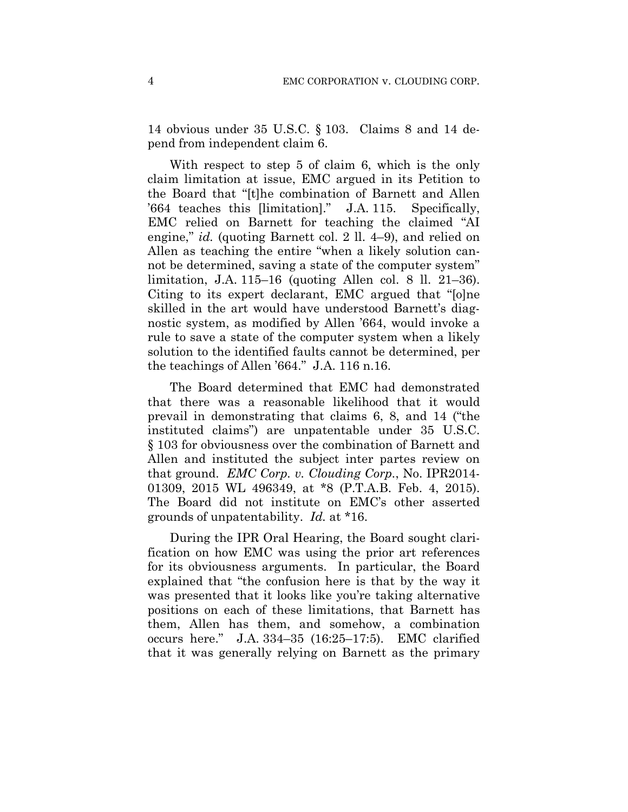14 obvious under 35 U.S.C. § 103. Claims 8 and 14 depend from independent claim 6.

With respect to step 5 of claim 6, which is the only claim limitation at issue, EMC argued in its Petition to the Board that "[t]he combination of Barnett and Allen '664 teaches this [limitation]." J.A. 115. Specifically, EMC relied on Barnett for teaching the claimed "AI engine," *id.* (quoting Barnett col. 2 ll. 4–9), and relied on Allen as teaching the entire "when a likely solution cannot be determined, saving a state of the computer system" limitation, J.A. 115–16 (quoting Allen col. 8 ll. 21–36). Citing to its expert declarant, EMC argued that "[o]ne skilled in the art would have understood Barnett's diagnostic system, as modified by Allen '664, would invoke a rule to save a state of the computer system when a likely solution to the identified faults cannot be determined, per the teachings of Allen '664." J.A. 116 n.16.

The Board determined that EMC had demonstrated that there was a reasonable likelihood that it would prevail in demonstrating that claims 6, 8, and 14 ("the instituted claims") are unpatentable under 35 U.S.C. § 103 for obviousness over the combination of Barnett and Allen and instituted the subject inter partes review on that ground. *EMC Corp. v. Clouding Corp.*, No. IPR2014- 01309, 2015 WL 496349, at \*8 (P.T.A.B. Feb. 4, 2015). The Board did not institute on EMC's other asserted grounds of unpatentability. *Id.* at \*16.

During the IPR Oral Hearing, the Board sought clarification on how EMC was using the prior art references for its obviousness arguments. In particular, the Board explained that "the confusion here is that by the way it was presented that it looks like you're taking alternative positions on each of these limitations, that Barnett has them, Allen has them, and somehow, a combination occurs here." J.A. 334–35 (16:25–17:5). EMC clarified that it was generally relying on Barnett as the primary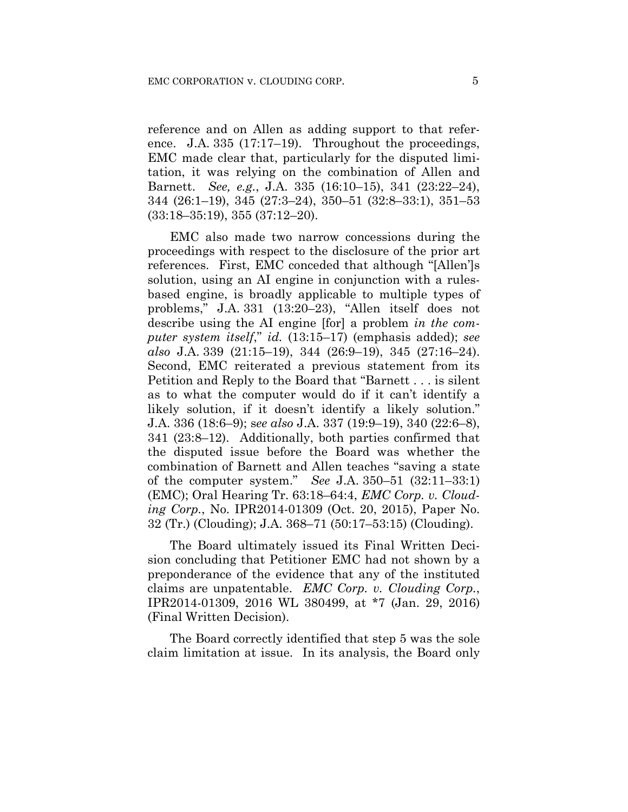reference and on Allen as adding support to that reference. J.A. 335 (17:17–19). Throughout the proceedings, EMC made clear that, particularly for the disputed limitation, it was relying on the combination of Allen and Barnett. *See, e.g.*, J.A. 335 (16:10–15), 341 (23:22–24), 344 (26:1–19), 345 (27:3–24), 350–51 (32:8–33:1), 351–53 (33:18–35:19), 355 (37:12–20).

EMC also made two narrow concessions during the proceedings with respect to the disclosure of the prior art references. First, EMC conceded that although "[Allen']s solution, using an AI engine in conjunction with a rulesbased engine, is broadly applicable to multiple types of problems," J.A. 331 (13:20–23), "Allen itself does not describe using the AI engine [for] a problem *in the computer system itself*," *id.* (13:15–17) (emphasis added); *see also* J.A. 339 (21:15–19), 344 (26:9–19), 345 (27:16–24). Second, EMC reiterated a previous statement from its Petition and Reply to the Board that "Barnett . . . is silent as to what the computer would do if it can't identify a likely solution, if it doesn't identify a likely solution." J.A. 336 (18:6–9); s*ee also* J.A. 337 (19:9–19), 340 (22:6–8), 341 (23:8–12). Additionally, both parties confirmed that the disputed issue before the Board was whether the combination of Barnett and Allen teaches "saving a state of the computer system." *See* J.A. 350–51 (32:11–33:1) (EMC); Oral Hearing Tr. 63:18–64:4, *EMC Corp. v. Clouding Corp.*, No. IPR2014-01309 (Oct. 20, 2015), Paper No. 32 (Tr.) (Clouding); J.A. 368–71 (50:17–53:15) (Clouding).

The Board ultimately issued its Final Written Decision concluding that Petitioner EMC had not shown by a preponderance of the evidence that any of the instituted claims are unpatentable. *EMC Corp. v. Clouding Corp.*, IPR2014-01309, 2016 WL 380499, at \*7 (Jan. 29, 2016) (Final Written Decision).

The Board correctly identified that step 5 was the sole claim limitation at issue. In its analysis, the Board only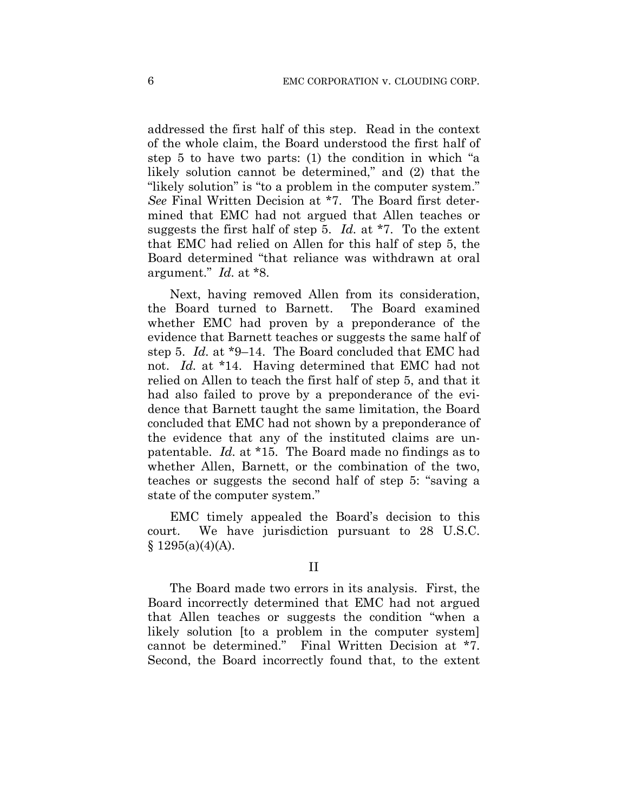addressed the first half of this step. Read in the context of the whole claim, the Board understood the first half of step 5 to have two parts: (1) the condition in which "a likely solution cannot be determined," and (2) that the "likely solution" is "to a problem in the computer system." *See* Final Written Decision at \*7. The Board first determined that EMC had not argued that Allen teaches or suggests the first half of step 5. *Id.* at \*7. To the extent that EMC had relied on Allen for this half of step 5, the Board determined "that reliance was withdrawn at oral argument." *Id.* at \*8.

Next, having removed Allen from its consideration, the Board turned to Barnett. The Board examined whether EMC had proven by a preponderance of the evidence that Barnett teaches or suggests the same half of step 5. *Id.* at \*9–14. The Board concluded that EMC had not. *Id.* at \*14. Having determined that EMC had not relied on Allen to teach the first half of step 5, and that it had also failed to prove by a preponderance of the evidence that Barnett taught the same limitation, the Board concluded that EMC had not shown by a preponderance of the evidence that any of the instituted claims are unpatentable. *Id.* at \*15. The Board made no findings as to whether Allen, Barnett, or the combination of the two, teaches or suggests the second half of step 5: "saving a state of the computer system."

EMC timely appealed the Board's decision to this court. We have jurisdiction pursuant to 28 U.S.C.  $§ 1295(a)(4)(A).$ 

#### II

The Board made two errors in its analysis. First, the Board incorrectly determined that EMC had not argued that Allen teaches or suggests the condition "when a likely solution [to a problem in the computer system] cannot be determined." Final Written Decision at \*7. Second, the Board incorrectly found that, to the extent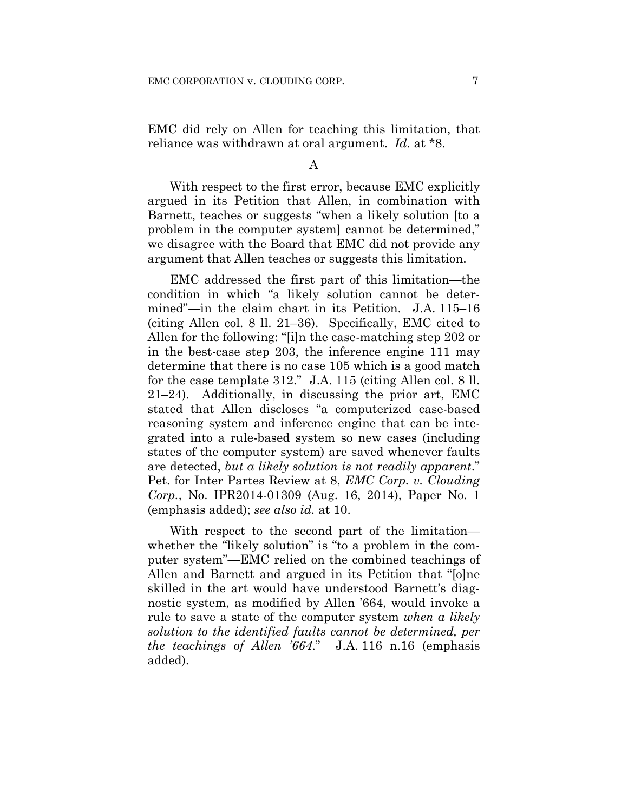EMC did rely on Allen for teaching this limitation, that reliance was withdrawn at oral argument. *Id.* at \*8.

A

With respect to the first error, because EMC explicitly argued in its Petition that Allen, in combination with Barnett, teaches or suggests "when a likely solution [to a problem in the computer system] cannot be determined," we disagree with the Board that EMC did not provide any argument that Allen teaches or suggests this limitation.

EMC addressed the first part of this limitation—the condition in which "a likely solution cannot be determined"—in the claim chart in its Petition. J.A. 115–16 (citing Allen col. 8 ll. 21–36). Specifically, EMC cited to Allen for the following: "[i]n the case-matching step 202 or in the best-case step 203, the inference engine 111 may determine that there is no case 105 which is a good match for the case template 312." J.A. 115 (citing Allen col. 8 ll. 21–24). Additionally, in discussing the prior art, EMC stated that Allen discloses "a computerized case-based reasoning system and inference engine that can be integrated into a rule-based system so new cases (including states of the computer system) are saved whenever faults are detected, *but a likely solution is not readily apparent*." Pet. for Inter Partes Review at 8, *EMC Corp. v. Clouding Corp.*, No. IPR2014-01309 (Aug. 16, 2014), Paper No. 1 (emphasis added); *see also id.* at 10.

With respect to the second part of the limitation whether the "likely solution" is "to a problem in the computer system"—EMC relied on the combined teachings of Allen and Barnett and argued in its Petition that "[o]ne skilled in the art would have understood Barnett's diagnostic system, as modified by Allen '664, would invoke a rule to save a state of the computer system *when a likely solution to the identified faults cannot be determined, per the teachings of Allen '664*." J.A. 116 n.16 (emphasis added).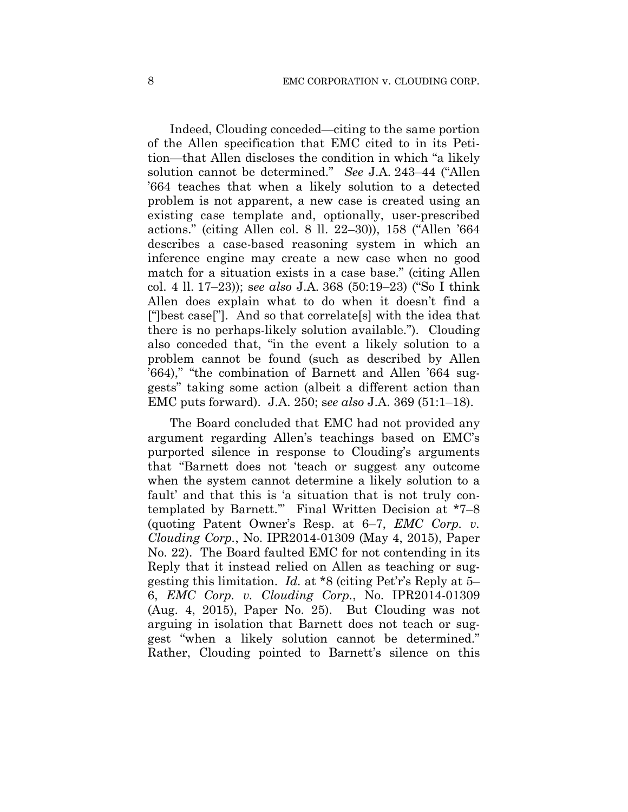Indeed, Clouding conceded—citing to the same portion of the Allen specification that EMC cited to in its Petition—that Allen discloses the condition in which "a likely solution cannot be determined." *See* J.A. 243–44 ("Allen '664 teaches that when a likely solution to a detected problem is not apparent, a new case is created using an existing case template and, optionally, user-prescribed actions." (citing Allen col. 8 ll. 22–30)), 158 ("Allen '664 describes a case-based reasoning system in which an inference engine may create a new case when no good match for a situation exists in a case base." (citing Allen col. 4 ll. 17–23)); s*ee also* J.A. 368 (50:19–23) ("So I think Allen does explain what to do when it doesn't find a ["]best case["]. And so that correlate[s] with the idea that there is no perhaps-likely solution available."). Clouding also conceded that, "in the event a likely solution to a problem cannot be found (such as described by Allen '664)," "the combination of Barnett and Allen '664 suggests" taking some action (albeit a different action than EMC puts forward). J.A. 250; s*ee also* J.A. 369 (51:1–18).

The Board concluded that EMC had not provided any argument regarding Allen's teachings based on EMC's purported silence in response to Clouding's arguments that "Barnett does not 'teach or suggest any outcome when the system cannot determine a likely solution to a fault' and that this is 'a situation that is not truly contemplated by Barnett.'" Final Written Decision at \*7–8 (quoting Patent Owner's Resp. at 6–7, *EMC Corp. v. Clouding Corp.*, No. IPR2014-01309 (May 4, 2015), Paper No. 22). The Board faulted EMC for not contending in its Reply that it instead relied on Allen as teaching or suggesting this limitation. *Id.* at \*8 (citing Pet'r's Reply at 5– 6, *EMC Corp. v. Clouding Corp.*, No. IPR2014-01309 (Aug. 4, 2015), Paper No. 25). But Clouding was not arguing in isolation that Barnett does not teach or suggest "when a likely solution cannot be determined." Rather, Clouding pointed to Barnett's silence on this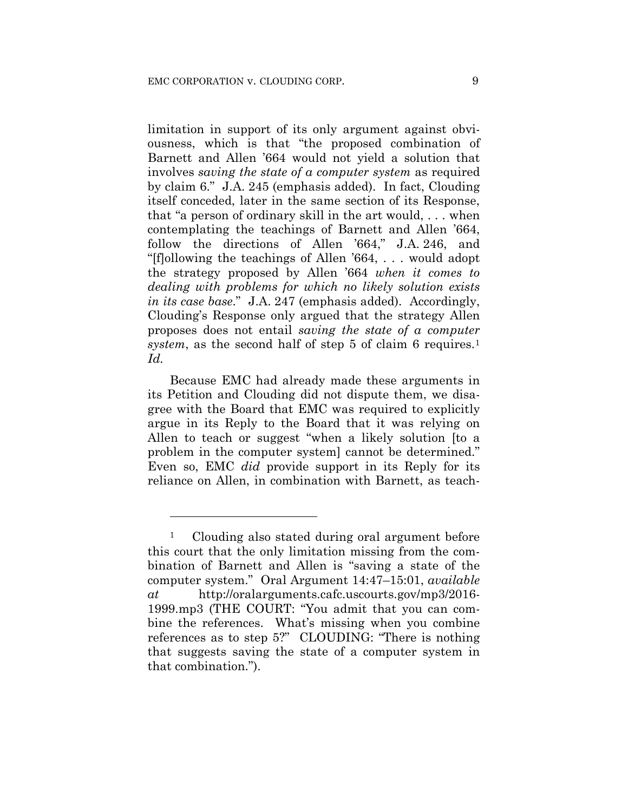limitation in support of its only argument against obviousness, which is that "the proposed combination of Barnett and Allen '664 would not yield a solution that involves *saving the state of a computer system* as required by claim 6." J.A. 245 (emphasis added). In fact, Clouding itself conceded, later in the same section of its Response, that "a person of ordinary skill in the art would, . . . when contemplating the teachings of Barnett and Allen '664, follow the directions of Allen '664," J.A. 246, and "[f]ollowing the teachings of Allen '664, . . . would adopt the strategy proposed by Allen '664 *when it comes to dealing with problems for which no likely solution exists in its case base*." J.A. 247 (emphasis added). Accordingly, Clouding's Response only argued that the strategy Allen proposes does not entail *saving the state of a computer system*, as the second half of step 5 of claim 6 requires.<sup>1</sup> *Id.*

Because EMC had already made these arguments in its Petition and Clouding did not dispute them, we disagree with the Board that EMC was required to explicitly argue in its Reply to the Board that it was relying on Allen to teach or suggest "when a likely solution [to a problem in the computer system] cannot be determined." Even so, EMC *did* provide support in its Reply for its reliance on Allen, in combination with Barnett, as teach-

<u>.</u>

<sup>1</sup> Clouding also stated during oral argument before this court that the only limitation missing from the combination of Barnett and Allen is "saving a state of the computer system." Oral Argument 14:47–15:01, *available at* http://oralarguments.cafc.uscourts.gov/mp3/2016- 1999.mp3 (THE COURT: "You admit that you can combine the references. What's missing when you combine references as to step 5?" CLOUDING: "There is nothing that suggests saving the state of a computer system in that combination.").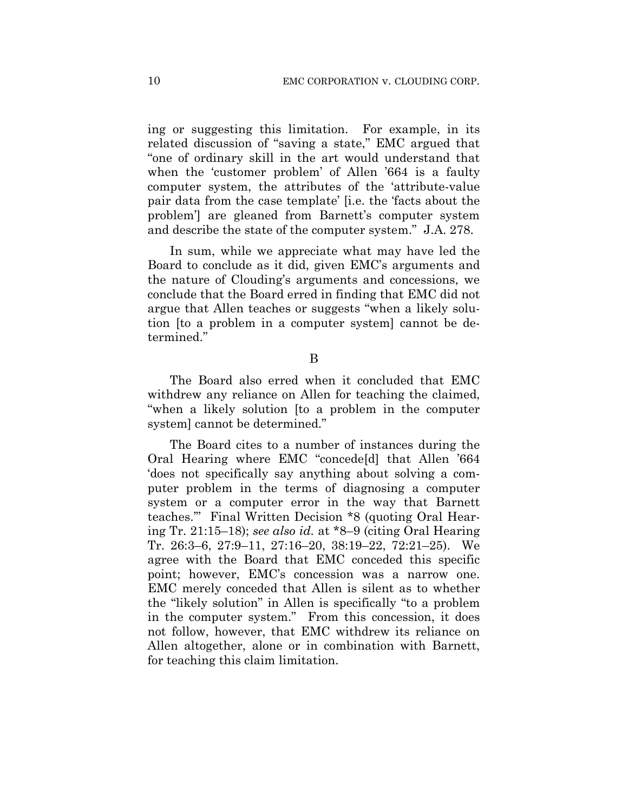ing or suggesting this limitation. For example, in its related discussion of "saving a state," EMC argued that "one of ordinary skill in the art would understand that when the 'customer problem' of Allen '664 is a faulty computer system, the attributes of the 'attribute-value pair data from the case template' [i.e. the 'facts about the problem'] are gleaned from Barnett's computer system and describe the state of the computer system." J.A. 278.

In sum, while we appreciate what may have led the Board to conclude as it did, given EMC's arguments and the nature of Clouding's arguments and concessions, we conclude that the Board erred in finding that EMC did not argue that Allen teaches or suggests "when a likely solution [to a problem in a computer system] cannot be determined."

B

The Board also erred when it concluded that EMC withdrew any reliance on Allen for teaching the claimed, "when a likely solution [to a problem in the computer system] cannot be determined."

The Board cites to a number of instances during the Oral Hearing where EMC "concede[d] that Allen '664 'does not specifically say anything about solving a computer problem in the terms of diagnosing a computer system or a computer error in the way that Barnett teaches.'" Final Written Decision \*8 (quoting Oral Hearing Tr. 21:15–18); *see also id.* at \*8–9 (citing Oral Hearing Tr. 26:3–6, 27:9–11, 27:16–20, 38:19–22, 72:21–25). We agree with the Board that EMC conceded this specific point; however, EMC's concession was a narrow one. EMC merely conceded that Allen is silent as to whether the "likely solution" in Allen is specifically "to a problem in the computer system." From this concession, it does not follow, however, that EMC withdrew its reliance on Allen altogether, alone or in combination with Barnett, for teaching this claim limitation.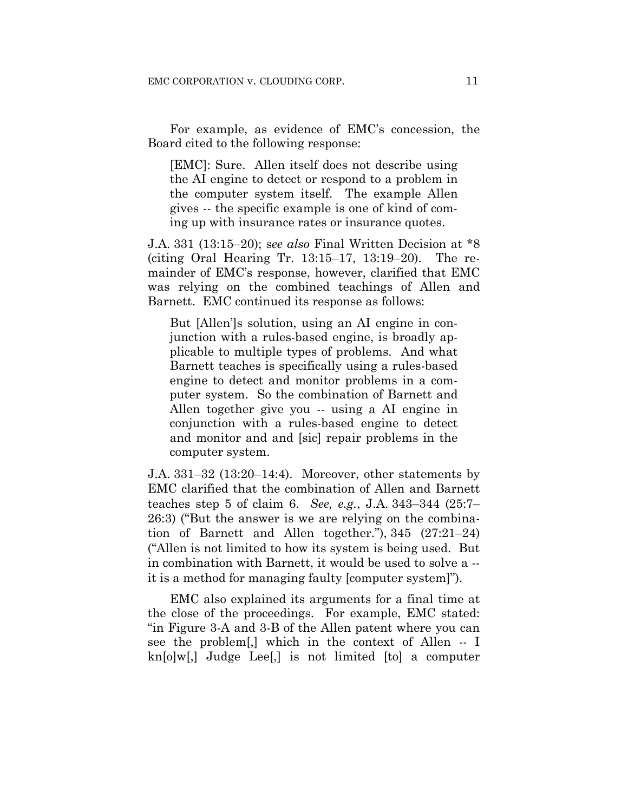For example, as evidence of EMC's concession, the Board cited to the following response:

[EMC]: Sure. Allen itself does not describe using the AI engine to detect or respond to a problem in the computer system itself. The example Allen gives -- the specific example is one of kind of coming up with insurance rates or insurance quotes.

J.A. 331 (13:15–20); s*ee also* Final Written Decision at \*8 (citing Oral Hearing Tr. 13:15–17, 13:19–20). The remainder of EMC's response, however, clarified that EMC was relying on the combined teachings of Allen and Barnett. EMC continued its response as follows:

But [Allen']s solution, using an AI engine in conjunction with a rules-based engine, is broadly applicable to multiple types of problems. And what Barnett teaches is specifically using a rules-based engine to detect and monitor problems in a computer system. So the combination of Barnett and Allen together give you -- using a AI engine in conjunction with a rules-based engine to detect and monitor and and [sic] repair problems in the computer system.

J.A. 331–32 (13:20–14:4). Moreover, other statements by EMC clarified that the combination of Allen and Barnett teaches step 5 of claim 6. *See, e.g.*, J.A. 343–344 (25:7– 26:3) ("But the answer is we are relying on the combination of Barnett and Allen together."), 345 (27:21–24) ("Allen is not limited to how its system is being used. But in combination with Barnett, it would be used to solve a - it is a method for managing faulty [computer system]").

EMC also explained its arguments for a final time at the close of the proceedings. For example, EMC stated: "in Figure 3-A and 3-B of the Allen patent where you can see the problem[,] which in the context of Allen -- I kn[o]w[,] Judge Lee[,] is not limited [to] a computer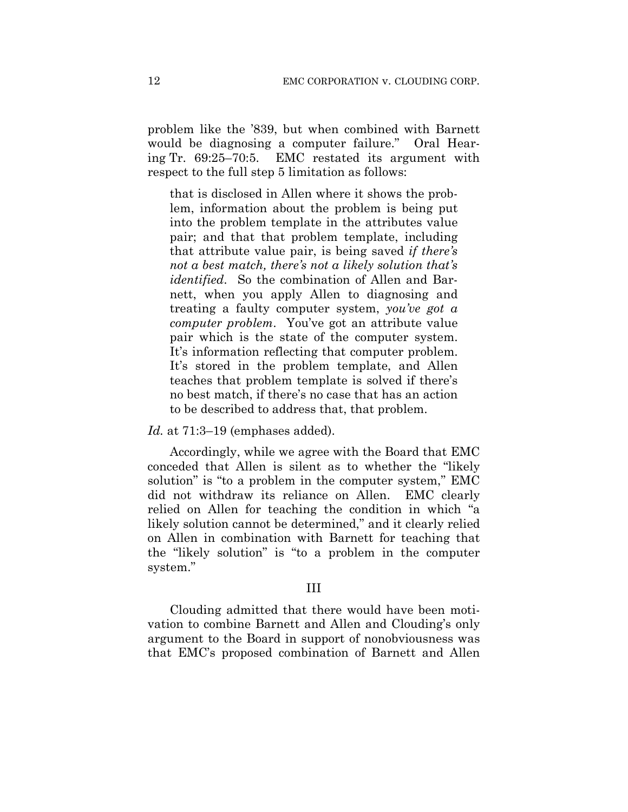problem like the '839, but when combined with Barnett would be diagnosing a computer failure." Oral Hearing Tr. 69:25–70:5. EMC restated its argument with respect to the full step 5 limitation as follows:

that is disclosed in Allen where it shows the problem, information about the problem is being put into the problem template in the attributes value pair; and that that problem template, including that attribute value pair, is being saved *if there's not a best match, there's not a likely solution that's identified*. So the combination of Allen and Barnett, when you apply Allen to diagnosing and treating a faulty computer system, *you've got a computer problem*. You've got an attribute value pair which is the state of the computer system. It's information reflecting that computer problem. It's stored in the problem template, and Allen teaches that problem template is solved if there's no best match, if there's no case that has an action to be described to address that, that problem.

#### *Id.* at 71:3–19 (emphases added).

Accordingly, while we agree with the Board that EMC conceded that Allen is silent as to whether the "likely solution" is "to a problem in the computer system," EMC did not withdraw its reliance on Allen. EMC clearly relied on Allen for teaching the condition in which "a likely solution cannot be determined," and it clearly relied on Allen in combination with Barnett for teaching that the "likely solution" is "to a problem in the computer system."

### III

Clouding admitted that there would have been motivation to combine Barnett and Allen and Clouding's only argument to the Board in support of nonobviousness was that EMC's proposed combination of Barnett and Allen